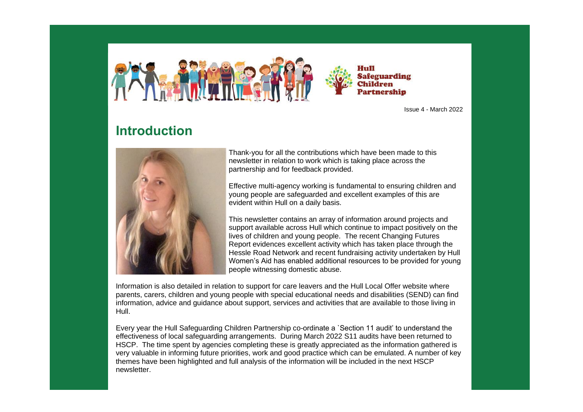Hull **Safeguarding Children** Partnership

Issue 4 - March 2022

# **Introduction**



Thank-you for all the contributions which have been made to this newsletter in relation to work which is taking place across the partnership and for feedback provided.

Effective multi-agency working is fundamental to ensuring children and young people are safeguarded and excellent examples of this are evident within Hull on a daily basis.

This newsletter contains an array of information around projects and support available across Hull which continue to impact positively on the lives of children and young people. The recent Changing Futures Report evidences excellent activity which has taken place through the Hessle Road Network and recent fundraising activity undertaken by Hull Women's Aid has enabled additional resources to be provided for young people witnessing domestic abuse.

Information is also detailed in relation to support for care leavers and the Hull Local Offer website where parents, carers, children and young people with special educational needs and disabilities (SEND) can find information, advice and guidance about support, services and activities that are available to those living in Hull.

Every year the Hull Safeguarding Children Partnership co-ordinate a `Section 11 audit' to understand the effectiveness of local safeguarding arrangements. During March 2022 S11 audits have been returned to HSCP. The time spent by agencies completing these is greatly appreciated as the information gathered is very valuable in informing future priorities, work and good practice which can be emulated. A number of key themes have been highlighted and full analysis of the information will be included in the next HSCP newsletter.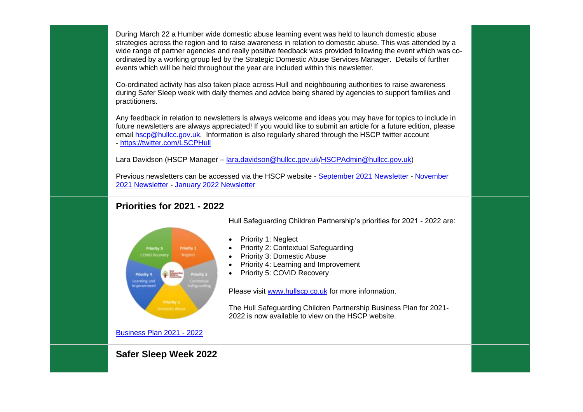During March 22 a Humber wide domestic abuse learning event was held to launch domestic abuse strategies across the region and to raise awareness in relation to domestic abuse. This was attended by a wide range of partner agencies and really positive feedback was provided following the event which was coordinated by a working group led by the Strategic Domestic Abuse Services Manager. Details of further events which will be held throughout the year are included within this newsletter.

Co-ordinated activity has also taken place across Hull and neighbouring authorities to raise awareness during Safer Sleep week with daily themes and advice being shared by agencies to support families and practitioners.

Any feedback in relation to newsletters is always welcome and ideas you may have for topics to include in future newsletters are always appreciated! If you would like to submit an article for a future edition, please email [hscp@hullcc.gov.uk.](mailto:hscp@hullcc.gov.uk) Information is also regularly shared through the HSCP twitter account - <https://twitter.com/LSCPHull>

Lara Davidson (HSCP Manager – [lara.davidson@hullcc.gov.uk](mailto:lara.davidson@hullcc.gov.uk)[/HSCPAdmin@hullcc.gov.uk\)](mailto:HSCPAdmin@hullcc.gov.uk)

Previous newsletters can be accessed via the HSCP website - [September 2021 Newsletter](https://www.hullscp.co.uk/wp-content/uploads/2021/10/HSCP-Newsletter-September-2021.pdf) - [November](https://www.hullscp.co.uk/wp-content/uploads/2021/11/HSCP-November-2021-Newsletter.pdf)  [2021 Newsletter](https://www.hullscp.co.uk/wp-content/uploads/2021/11/HSCP-November-2021-Newsletter.pdf) - [January 2022 Newsletter](https://www.hullscp.co.uk/wp-content/uploads/2022/02/HSCP-Newsletter-January-2022.pdf)

## **Priorities for 2021 - 2022**



Hull Safeguarding Children Partnership's priorities for 2021 - 2022 are:

- Priority 1: Neglect
- Priority 2: Contextual Safeguarding
- Priority 3: Domestic Abuse
- Priority 4: Learning and Improvement
- Priority 5: COVID Recovery

Please visit [www.hullscp.co.uk](http://www.hullscp.co.uk/) for more information.

The Hull Safeguarding Children Partnership Business Plan for 2021- 2022 is now available to view on the HSCP website.

[Business Plan 2021 -](https://www.hullscp.co.uk/wp-content/uploads/2022/01/HSCPBusinessPlan-2021-2022-final.pdf) 2022

**Safer Sleep Week 2022**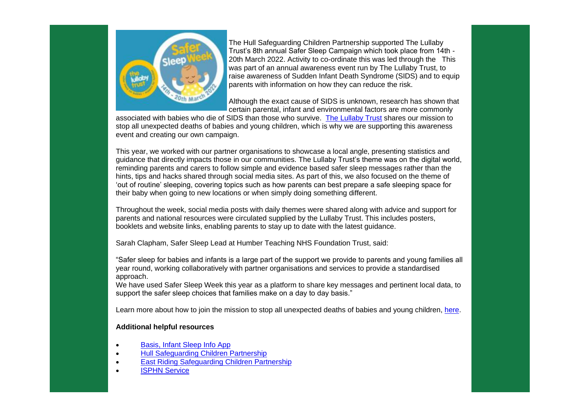

The Hull Safeguarding Children Partnership supported The Lullaby Trust's 8th annual Safer Sleep Campaign which took place from 14th - 20th March 2022. Activity to co-ordinate this was led through the This was part of an annual awareness event run by The Lullaby Trust, to raise awareness of Sudden Infant Death Syndrome (SIDS) and to equip parents with information on how they can reduce the risk.

Although the exact cause of SIDS is unknown, research has shown that certain parental, infant and environmental factors are more commonly

associated with babies who die of SIDS than those who survive. [The Lullaby Trust](https://www.lullabytrust.org.uk/) shares our mission to stop all unexpected deaths of babies and young children, which is why we are supporting this awareness event and creating our own campaign.

This year, we worked with our partner organisations to showcase a local angle, presenting statistics and guidance that directly impacts those in our communities. The Lullaby Trust's theme was on the digital world, reminding parents and carers to follow simple and evidence based safer sleep messages rather than the hints, tips and hacks shared through social media sites. As part of this, we also focused on the theme of 'out of routine' sleeping, covering topics such as how parents can best prepare a safe sleeping space for their baby when going to new locations or when simply doing something different.

Throughout the week, social media posts with daily themes were shared along with advice and support for parents and national resources were circulated supplied by the Lullaby Trust. This includes posters, booklets and website links, enabling parents to stay up to date with the latest guidance.

Sarah Clapham, Safer Sleep Lead at Humber Teaching NHS Foundation Trust, said:

"Safer sleep for babies and infants is a large part of the support we provide to parents and young families all year round, working collaboratively with partner organisations and services to provide a standardised approach.

We have used Safer Sleep Week this year as a platform to share key messages and pertinent local data, to support the safer sleep choices that families make on a day to day basis."

Learn more about how to join the mission to stop all unexpected deaths of babies and young children, [here.](https://www.lullabytrust.org.uk/get-involved-with-safer-sleep-week/)

#### **Additional helpful resources**

- [Basis, Infant Sleep Info App](https://www.basisonline.org.uk/infant-sleep-info-app/)
- [Hull Safeguarding Children Partnership](https://www.hullscp.co.uk/)
- **[East Riding Safeguarding Children Partnership](https://www.erscp.co.uk/)**
- **[ISPHN Service](https://humberisphn.nhs.uk/)**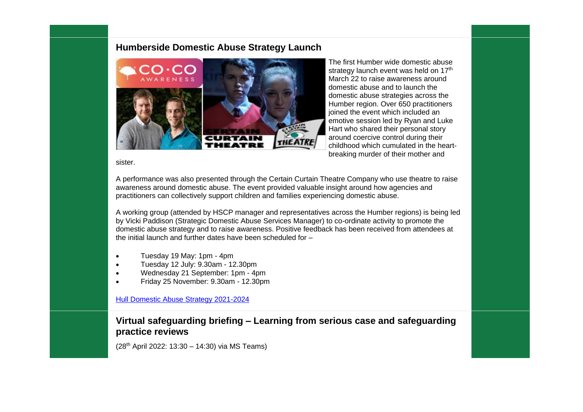#### **Humberside Domestic Abuse Strategy Launch**



The first Humber wide domestic abuse strategy launch event was held on 17<sup>th</sup> March 22 to raise awareness around domestic abuse and to launch the domestic abuse strategies across the Humber region. Over 650 practitioners joined the event which included an emotive session led by Ryan and Luke Hart who shared their personal story around coercive control during their childhood which cumulated in the heartbreaking murder of their mother and

#### sister.

A performance was also presented through the Certain Curtain Theatre Company who use theatre to raise awareness around domestic abuse. The event provided valuable insight around how agencies and practitioners can collectively support children and families experiencing domestic abuse.

A working group (attended by HSCP manager and representatives across the Humber regions) is being led by Vicki Paddison (Strategic Domestic Abuse Services Manager) to co-ordinate activity to promote the domestic abuse strategy and to raise awareness. Positive feedback has been received from attendees at the initial launch and further dates have been scheduled for –

- Tuesday 19 May: 1pm 4pm
- Tuesday 12 July: 9.30am 12.30pm
- Wednesday 21 September: 1pm 4pm
- Friday 25 November: 9.30am 12.30pm

[Hull Domestic Abuse Strategy 2021-2024](https://www.hull.gov.uk/crime-and-safety/domestic-violence/domestic-abuse-strategy)

### **Virtual safeguarding briefing – Learning from serious case and safeguarding practice reviews**

(28th April 2022: 13:30 – 14:30) via MS Teams)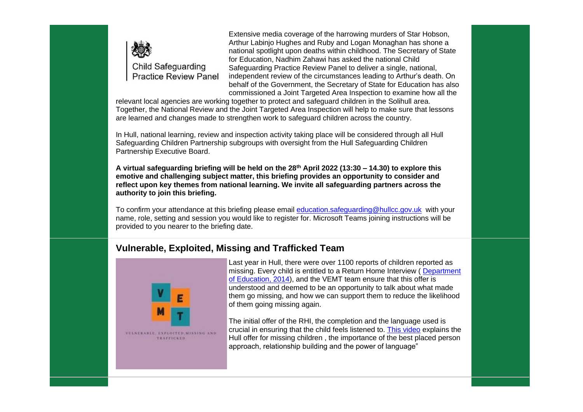

Extensive media coverage of the harrowing murders of Star Hobson, Arthur Labinjo Hughes and Ruby and Logan Monaghan has shone a national spotlight upon deaths within childhood. The Secretary of State for Education, Nadhim Zahawi has asked the national Child Safeguarding Practice Review Panel to deliver a single, national, independent review of the circumstances leading to Arthur's death. On behalf of the Government, the Secretary of State for Education has also commissioned a Joint Targeted Area Inspection to examine how all the

relevant local agencies are working together to protect and safeguard children in the Solihull area. Together, the National Review and the Joint Targeted Area Inspection will help to make sure that lessons are learned and changes made to strengthen work to safeguard children across the country.

In Hull, national learning, review and inspection activity taking place will be considered through all Hull Safeguarding Children Partnership subgroups with oversight from the Hull Safeguarding Children Partnership Executive Board.

**A virtual safeguarding briefing will be held on the 28th April 2022 (13:30 – 14.30) to explore this emotive and challenging subject matter, this briefing provides an opportunity to consider and reflect upon key themes from national learning. We invite all safeguarding partners across the authority to join this briefing.**

To confirm your attendance at this briefing please email [education.safeguarding@hullcc.gov.uk](mailto:education.safeguarding@hullcc.gov.uk) with your name, role, setting and session you would like to register for. Microsoft Teams joining instructions will be provided to you nearer to the briefing date.

## **Vulnerable, Exploited, Missing and Trafficked Team**



Last year in Hull, there were over 1100 reports of children reported as missing. Every child is entitled to a Return Home Interview ( [Department](https://assets.publishing.service.gov.uk/government/uploads/system/uploads/attachment_data/file/307867/Statutory_Guidance_-_Missing_from_care__3_.pdf)  [of Education, 2014\)](https://assets.publishing.service.gov.uk/government/uploads/system/uploads/attachment_data/file/307867/Statutory_Guidance_-_Missing_from_care__3_.pdf), and the VEMT team ensure that this offer is understood and deemed to be an opportunity to talk about what made them go missing, and how we can support them to reduce the likelihood of them going missing again.

The initial offer of the RHI, the completion and the language used is crucial in ensuring that the child feels listened to. [This video](https://www.youtube.com/watch?v=WnQj3gf5LWU) explains the Hull offer for missing children , the importance of the best placed person approach, relationship building and the power of language"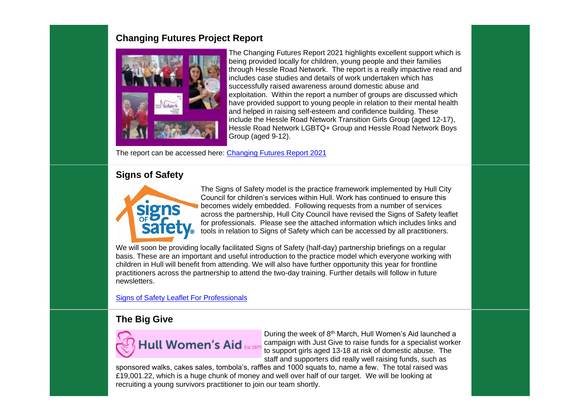# **Changing Futures Project Report**



The Changing Futures Report 2021 highlights excellent support which is being provided locally for children, young people and their families through Hessle Road Network. The report is a really impactive read and includes case studies and details of work undertaken which has successfully raised awareness around domestic abuse and exploitation. Within the report a number of groups are discussed which have provided support to young people in relation to their mental health and helped in raising self-esteem and confidence building. These include the Hessle Road Network Transition Girls Group (aged 12-17), Hessle Road Network LGBTQ+ Group and Hessle Road Network Boys Group (aged 9-12).

The report can be accessed here: [Changing Futures Report 2021](https://www.hullscp.co.uk/wp-content/uploads/2022/03/Changing-Futures-Report-2021-without-budget.pdf)

# **Signs of Safety**



The Signs of Safety model is the practice framework implemented by Hull City Council for children's services within Hull. Work has continued to ensure this becomes widely embedded. Following requests from a number of services across the partnership, Hull City Council have revised the Signs of Safety leaflet for professionals. Please see the attached information which includes links and tools in relation to Signs of Safety which can be accessed by all practitioners.

We will soon be providing locally facilitated Signs of Safety (half-day) partnership briefings on a regular basis. These are an important and useful introduction to the practice model which everyone working with children in Hull will benefit from attending. We will also have further opportunity this year for frontline practitioners across the partnership to attend the two-day training. Further details will follow in future newsletters.

[Signs of Safety Leaflet For Professionals](https://www.hullscp.co.uk/wp-content/uploads/2022/03/Signs-of-Safety-leaflet-for-professionals-v1.docx)

## **The Big Give**



During the week of 8th March, Hull Women's Aid launched a campaign with Just Give to raise funds for a specialist worker to support girls aged 13-18 at risk of domestic abuse. The staff and supporters did really well raising funds, such as

sponsored walks, cakes sales, tombola's, raffles and 1000 squats to, name a few. The total raised was £19,001.22, which is a huge chunk of money and well over half of our target. We will be looking at recruiting a young survivors practitioner to join our team shortly.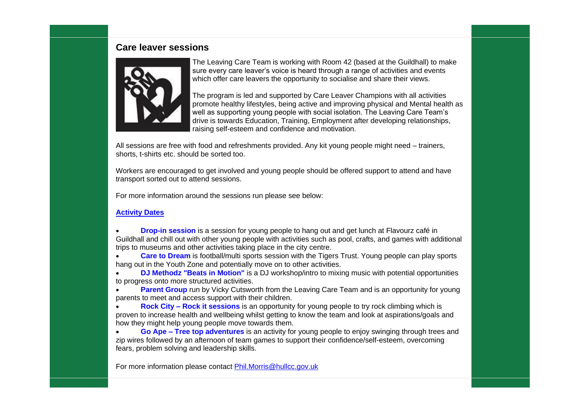#### **Care leaver sessions**



The Leaving Care Team is working with Room 42 (based at the Guildhall) to make sure every care leaver's voice is heard through a range of activities and events which offer care leavers the opportunity to socialise and share their views.

The program is led and supported by Care Leaver Champions with all activities promote healthy lifestyles, being active and improving physical and Mental health as well as supporting young people with social isolation. The Leaving Care Team's drive is towards Education, Training, Employment after developing relationships, raising self-esteem and confidence and motivation.

All sessions are free with food and refreshments provided. Any kit young people might need – trainers, shorts, t-shirts etc. should be sorted too.

Workers are encouraged to get involved and young people should be offered support to attend and have transport sorted out to attend sessions.

For more information around the sessions run please see below:

#### **[Activity Dates](https://www.hullscp.co.uk/wp-content/uploads/2022/03/Activity-dates.pdf)**

- **[Drop-in session](https://www.hullscp.co.uk/wp-content/uploads/2022/03/Drop-in-2022.pdf)** is a session for young people to hang out and get lunch at Flavourz café in Guildhall and chill out with other young people with activities such as pool, crafts, and games with additional trips to museums and other activities taking place in the city centre.
- **[Care to Dream](https://www.hullscp.co.uk/wp-content/uploads/2022/03/CARE-TO-DREAM-6.png)** is football/multi sports session with the Tigers Trust. Young people can play sports hang out in the Youth Zone and potentially move on to other activities.
- **[DJ Methodz "Beats in Motion"](https://www.hullscp.co.uk/wp-content/uploads/2022/03/DJ-Methodz-2022-Mar-June.pdf)** is a DJ workshop/intro to mixing music with potential opportunities to progress onto more structured activities.
- **[Parent Group](https://www.hullscp.co.uk/wp-content/uploads/2022/03/Parents-Group-2022.pdf)** run by Vicky Cutsworth from the Leaving Care Team and is an opportunity for young parents to meet and access support with their children.
- **Rock City – [Rock it sessions](https://www.hullscp.co.uk/wp-content/uploads/2022/03/Rock-city-2022.pdf)** is an opportunity for young people to try rock climbing which is proven to increase health and wellbeing whilst getting to know the team and look at aspirations/goals and how they might help young people move towards them.
- **Go Ape – [Tree top adventures](https://www.hullscp.co.uk/wp-content/uploads/2022/03/GO-Ape-2022.pdf)** is an activity for young people to enjoy swinging through trees and zip wires followed by an afternoon of team games to support their confidence/self-esteem, overcoming fears, problem solving and leadership skills.

For more information please contact [Phil.Morris@hullcc.gov.uk](mailto:Phil.Morris@hullcc.gov.uk)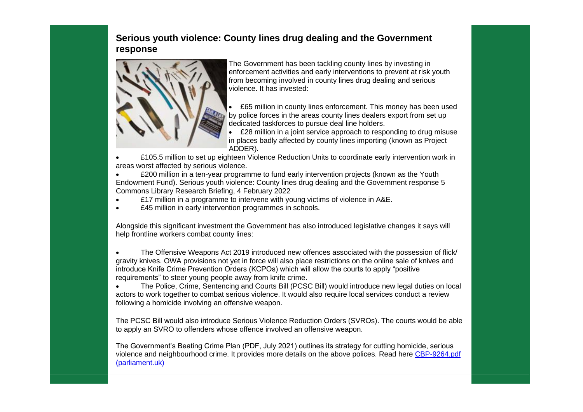# **Serious youth violence: County lines drug dealing and the Government response**



The Government has been tackling county lines by investing in enforcement activities and early interventions to prevent at risk youth from becoming involved in county lines drug dealing and serious violence. It has invested:

• £65 million in county lines enforcement. This money has been used by police forces in the areas county lines dealers export from set up dedicated taskforces to pursue deal line holders.

• £28 million in a joint service approach to responding to drug misuse in places badly affected by county lines importing (known as Project ADDER).

• £105.5 million to set up eighteen Violence Reduction Units to coordinate early intervention work in areas worst affected by serious violence.

• **EXUO** million in a ten-year programme to fund early intervention projects (known as the Youth Endowment Fund). Serious youth violence: County lines drug dealing and the Government response 5 Commons Library Research Briefing, 4 February 2022

- £17 million in a programme to intervene with young victims of violence in A&E.
- **E45 million in early intervention programmes in schools.**

Alongside this significant investment the Government has also introduced legislative changes it says will help frontline workers combat county lines:

• The Offensive Weapons Act 2019 introduced new offences associated with the possession of flick/ gravity knives. OWA provisions not yet in force will also place restrictions on the online sale of knives and introduce Knife Crime Prevention Orders (KCPOs) which will allow the courts to apply "positive requirements" to steer young people away from knife crime.

• The Police, Crime, Sentencing and Courts Bill (PCSC Bill) would introduce new legal duties on local actors to work together to combat serious violence. It would also require local services conduct a review following a homicide involving an offensive weapon.

The PCSC Bill would also introduce Serious Violence Reduction Orders (SVROs). The courts would be able to apply an SVRO to offenders whose offence involved an offensive weapon.

The Government's Beating Crime Plan (PDF, July 2021) outlines its strategy for cutting homicide, serious violence and neighbourhood crime. It provides more details on the above polices. Read here [CBP-9264.pdf](https://researchbriefings.files.parliament.uk/documents/CBP-9264/CBP-9264.pdf)  [\(parliament.uk\)](https://researchbriefings.files.parliament.uk/documents/CBP-9264/CBP-9264.pdf)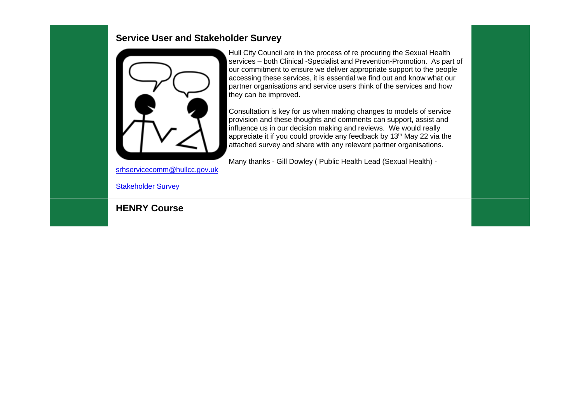#### **Service User and Stakeholder Survey**



Hull City Council are in the process of re procuring the Sexual Health services – both Clinical -Specialist and Prevention-Promotion. As part of our commitment to ensure we deliver appropriate support to the people accessing these services, it is essential we find out and know what our partner organisations and service users think of the services and how they can be improved.

Consultation is key for us when making changes to models of service provision and these thoughts and comments can support, assist and influence us in our decision making and reviews. We would really appreciate it if you could provide any feedback by 13<sup>th</sup> May 22 via the attached survey and share with any relevant partner organisations.

Many thanks - Gill Dowley ( Public Health Lead (Sexual Health) -

[srhservicecomm@hullcc.gov.uk](mailto:srhservicecomm@hullcc.gov.uk)

[Stakeholder Survey](https://www.hullscp.co.uk/wp-content/uploads/2022/03/Stakeholder-Survey-17.03.22.docx)

**HENRY Course**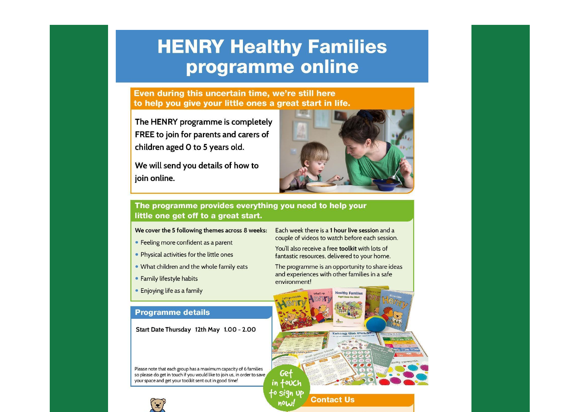# **HENRY Healthy Families** programme online

Even during this uncertain time, we're still here to help you give your little ones a great start in life.

The HENRY programme is completely FREE to join for parents and carers of children aged 0 to 5 years old.

We will send you details of how to join online.

#### The programme provides everything you need to help your little one get off to a great start.

#### We cover the 5 following themes across 8 weeks:

- Feeling more confident as a parent
- Physical activities for the little ones
- . What children and the whole family eats
- · Family lifestyle habits
- Enjoying life as a family

#### **Programme details**

Start Date Thursday 12th May 1.00 - 2.00

Please note that each group has a maximum capacity of 6 families so please do get in touch if you would like to join us, in order to save your space and get your toolkit sent out in good time!



Each week there is a 1 hour live session and a couple of videos to watch before each session.

You'll also receive a free toolkit with lots of fantastic resources, delivered to your home.

The programme is an opportunity to share ideas and experiences with other families in a safe environment!



**Contact Us** 

now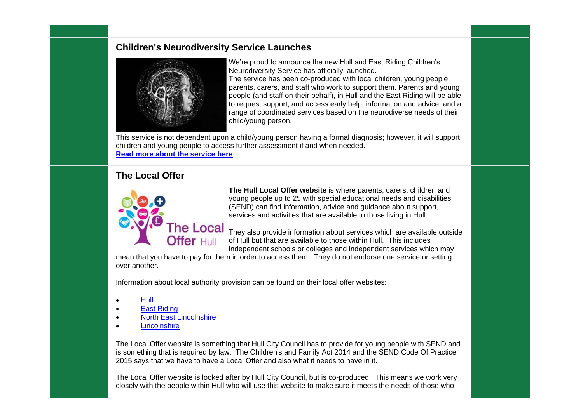### **Children's Neurodiversity Service Launches**



We're proud to announce the new Hull and East Riding Children's Neurodiversity Service has officially launched. The service has been co-produced with local children, young people, parents, carers, and staff who work to support them. Parents and young people (and staff on their behalf), in Hull and the East Riding will be able to request support, and access early help, information and advice, and a range of coordinated services based on the neurodiverse needs of their child/young person.

This service is not dependent upon a child/young person having a formal diagnosis; however, it will support children and young people to access further assessment if and when needed. **[Read more about the service here](https://lnks.gd/l/eyJhbGciOiJIUzI1NiJ9.eyJidWxsZXRpbl9saW5rX2lkIjoxMDAsInVyaSI6ImJwMjpjbGljayIsImJ1bGxldGluX2lkIjoiMjAyMjAzMjMuNTUzMzMxNDEiLCJ1cmwiOiJodHRwOi8vdGhlaW50cmFuZXQuaHVsbGNjLmdvdi51ay9uZXdzcm9vbS9uZXdzLWFydGljbGUvaHVsbC1hbmQtZWFzdC1yaWRpbmctY2hpbGRyZW5zLW5ldXJvZGl2ZXJzaXR5LXNlcnZpY2UtbGF1bmNoZWQifQ.wQpGtbGMtCjPyh4RQEz6niSqI7-BehyAq_GIIMQ1J6g/s/860256933/br/128532829604-l)**

# **The Local Offer**



**The Hull Local Offer website** is where parents, carers, children and young people up to 25 with special educational needs and disabilities (SEND) can find information, advice and guidance about support, services and activities that are available to those living in Hull.

They also provide information about services which are available outside of Hull but that are available to those within Hull. This includes independent schools or colleges and independent services which may

mean that you have to pay for them in order to access them. They do not endorse one service or setting over another.

Information about local authority provision can be found on their local offer websites:

- [Hull](https://hull.mylocaloffer.org/)
- **[East Riding](http://www.eastridinglocaloffer.org.uk/)**
- [North East Lincolnshire](https://sendlocaloffer.nelincs.gov.uk/)
- [Lincolnshire](https://www.lincolnshire.gov.uk/homepage/131/send-local-offer)

The Local Offer website is something that Hull City Council has to provide for young people with SEND and is something that is required by law. The Children's and Family Act 2014 and the SEND Code Of Practice 2015 says that we have to have a Local Offer and also what it needs to have in it.

The Local Offer website is looked after by Hull City Council, but is co-produced. This means we work very closely with the people within Hull who will use this website to make sure it meets the needs of those who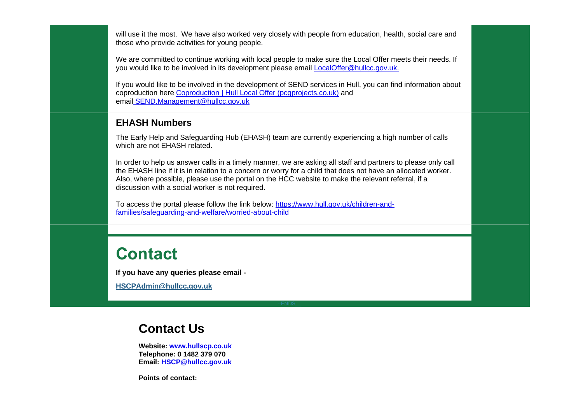will use it the most. We have also worked very closely with people from education, health, social care and those who provide activities for young people.

We are committed to continue working with local people to make sure the Local Offer meets their needs. If you would like to be involved in its development please email [LocalOffer@hullcc.gov.uk.](mailto:LocalOffer@hullcc.gov.uk)

If you would like to be involved in the development of SEND services in Hull, you can find information about coproduction here [Coproduction | Hull Local Offer \(pcgprojects.co.uk\)](https://hull.mylocaloffer.org/coproduction/) and email [SEND.Management@hullcc.gov.uk](mailto:SEND.Management@hullcc.gov.uk)

#### **EHASH Numbers**

The Early Help and Safeguarding Hub (EHASH) team are currently experiencing a high number of calls which are not EHASH related.

In order to help us answer calls in a timely manner, we are asking all staff and partners to please only call the EHASH line if it is in relation to a concern or worry for a child that does not have an allocated worker. Also, where possible, please use the portal on the HCC website to make the relevant referral, if a discussion with a social worker is not required.

To access the portal please follow the link below: [https://www.hull.gov.uk/children-and](https://www.hull.gov.uk/children-and-families/safeguarding-and-welfare/worried-about-child)[families/safeguarding-and-welfare/worried-about-child](https://www.hull.gov.uk/children-and-families/safeguarding-and-welfare/worried-about-child)

# **Contact**

**If you have any queries please email -**

**[HSCPAdmin@hullcc.gov.uk](mailto:HSCPAdmin@hullcc.gov.uk)**

# **Contact Us**

**Website: [www.hullscp.co.uk](https://www.hullscp.co.uk/) Telephone: 0 1482 379 070 Email: [HSCP@hullcc.gov.uk](mailto:HSCP@hullcc.gov.uk)**

**Points of contact:**